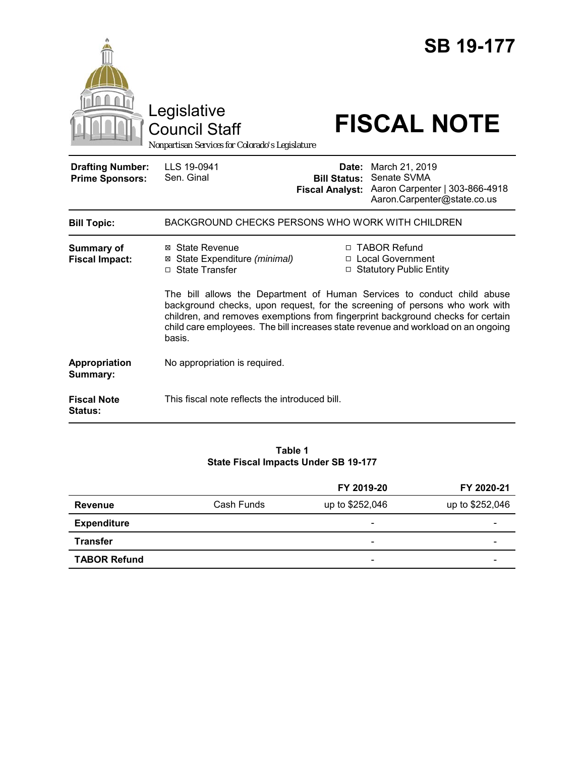|                                                   | Legislative<br><b>Council Staff</b><br>Nonpartisan Services for Colorado's Legislature                                                                                                                                                                                                                                                   |                                               | <b>SB 19-177</b><br><b>FISCAL NOTE</b>                                                               |  |  |
|---------------------------------------------------|------------------------------------------------------------------------------------------------------------------------------------------------------------------------------------------------------------------------------------------------------------------------------------------------------------------------------------------|-----------------------------------------------|------------------------------------------------------------------------------------------------------|--|--|
| <b>Drafting Number:</b><br><b>Prime Sponsors:</b> | LLS 19-0941<br>Sen. Ginal                                                                                                                                                                                                                                                                                                                | <b>Bill Status:</b><br><b>Fiscal Analyst:</b> | Date: March 21, 2019<br>Senate SVMA<br>Aaron Carpenter   303-866-4918<br>Aaron.Carpenter@state.co.us |  |  |
| <b>Bill Topic:</b>                                | BACKGROUND CHECKS PERSONS WHO WORK WITH CHILDREN                                                                                                                                                                                                                                                                                         |                                               |                                                                                                      |  |  |
| <b>Summary of</b><br><b>Fiscal Impact:</b>        | ⊠ State Revenue<br>⊠ State Expenditure (minimal)<br>□ State Transfer                                                                                                                                                                                                                                                                     |                                               | □ TABOR Refund<br>□ Local Government<br>□ Statutory Public Entity                                    |  |  |
|                                                   | The bill allows the Department of Human Services to conduct child abuse<br>background checks, upon request, for the screening of persons who work with<br>children, and removes exemptions from fingerprint background checks for certain<br>child care employees. The bill increases state revenue and workload on an ongoing<br>basis. |                                               |                                                                                                      |  |  |
| Appropriation<br>Summary:                         | No appropriation is required.                                                                                                                                                                                                                                                                                                            |                                               |                                                                                                      |  |  |
| <b>Fiscal Note</b><br>Status:                     | This fiscal note reflects the introduced bill.                                                                                                                                                                                                                                                                                           |                                               |                                                                                                      |  |  |

#### **Table 1 State Fiscal Impacts Under SB 19-177**

|                     |            | FY 2019-20               | FY 2020-21      |
|---------------------|------------|--------------------------|-----------------|
| <b>Revenue</b>      | Cash Funds | up to \$252,046          | up to \$252,046 |
| <b>Expenditure</b>  |            | $\overline{\phantom{0}}$ | -               |
| <b>Transfer</b>     |            | $\overline{\phantom{0}}$ | -               |
| <b>TABOR Refund</b> |            | $\overline{\phantom{0}}$ |                 |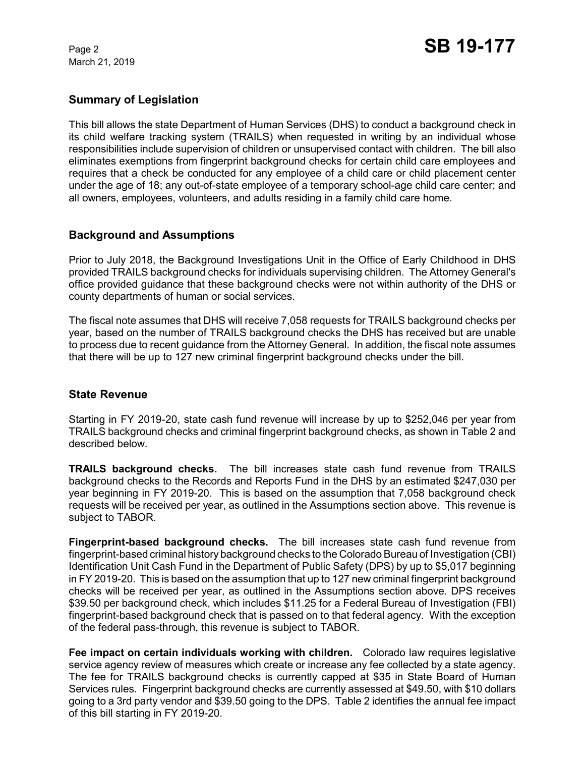March 21, 2019

# **Summary of Legislation**

This bill allows the state Department of Human Services (DHS) to conduct a background check in its child welfare tracking system (TRAILS) when requested in writing by an individual whose responsibilities include supervision of children or unsupervised contact with children. The bill also eliminates exemptions from fingerprint background checks for certain child care employees and requires that a check be conducted for any employee of a child care or child placement center under the age of 18; any out-of-state employee of a temporary school-age child care center; and all owners, employees, volunteers, and adults residing in a family child care home.

## **Background and Assumptions**

Prior to July 2018, the Background Investigations Unit in the Office of Early Childhood in DHS provided TRAILS background checks for individuals supervising children. The Attorney General's office provided guidance that these background checks were not within authority of the DHS or county departments of human or social services.

The fiscal note assumes that DHS will receive 7,058 requests for TRAILS background checks per year, based on the number of TRAILS background checks the DHS has received but are unable to process due to recent guidance from the Attorney General. In addition, the fiscal note assumes that there will be up to 127 new criminal fingerprint background checks under the bill.

## **State Revenue**

Starting in FY 2019-20, state cash fund revenue will increase by up to \$252,046 per year from TRAILS background checks and criminal fingerprint background checks, as shown in Table 2 and described below.

**TRAILS background checks.**The bill increases state cash fund revenue from TRAILS background checks to the Records and Reports Fund in the DHS by an estimated \$247,030 per year beginning in FY 2019-20. This is based on the assumption that 7,058 background check requests will be received per year, as outlined in the Assumptions section above. This revenue is subject to TABOR.

**Fingerprint-based background checks.** The bill increases state cash fund revenue from fingerprint-based criminal history background checks to the Colorado Bureau of Investigation (CBI) Identification Unit Cash Fund in the Department of Public Safety (DPS) by up to \$5,017 beginning in FY 2019-20. This is based on the assumption that up to 127 new criminal fingerprint background checks will be received per year, as outlined in the Assumptions section above. DPS receives \$39.50 per background check, which includes \$11.25 for a Federal Bureau of Investigation (FBI) fingerprint-based background check that is passed on to that federal agency. With the exception of the federal pass-through, this revenue is subject to TABOR.

**Fee impact on certain individuals working with children.** Colorado law requires legislative service agency review of measures which create or increase any fee collected by a state agency. The fee for TRAILS background checks is currently capped at \$35 in State Board of Human Services rules. Fingerprint background checks are currently assessed at \$49.50, with \$10 dollars going to a 3rd party vendor and \$39.50 going to the DPS. Table 2 identifies the annual fee impact of this bill starting in FY 2019-20.